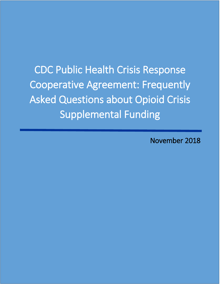CDC Public Health Crisis Response Cooperative Agreement: Frequently Asked Questions about Opioid Crisis Supplemental Funding

November 2018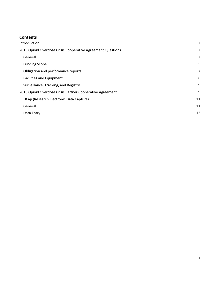# **Contents**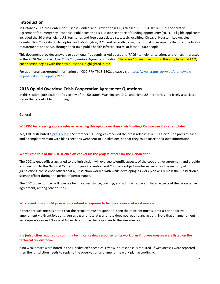## <span id="page-2-0"></span>**Introduction**

In October 2017, the Centers for Disease Control and Prevention (CDC) released CDC-RFA-TP18-1802: Cooperative Agreement for Emergency Response: Public Health Crisis Response notice of funding opportunity (NOFO). Eligible applicants included the 50 states; eight U.S. territories and freely associated states; six localities: Chicago, Houston, Los Angeles County, New York City, Philadelphia, and Washington, D.C.; and federally recognized tribal governments that met the NOFO requirements and serve, through their own public health infrastructures, at least 50,000 people.

This document provides answers to additional frequently asked questions (FAQS) to help jurisdictions and others interested in the *2018 Opioid Overdose Crisis Cooperative Agreement* funding. There are 10 new questions in this supplemental FAQ; each section begins with the new questions, highlighted in red.

For additional background information on CDC-RFA-TP18-1802, please visi[t https://www.grants.gov/web/grants/view](https://www.grants.gov/web/grants/view-opportunity.html?oppId=297939)[opportunity.html?oppId=297939](https://www.grants.gov/web/grants/view-opportunity.html?oppId=297939)

## <span id="page-2-1"></span>**2018 Opioid Overdose Crisis Cooperative Agreement Questions**

In this section, jurisdiction refers to any of the 50 states, Washington, D.C., and eight U.S. territories and freely associated states that are eligible for funding.

<span id="page-2-2"></span>General

### **Will CDC be releasing a press release regarding this opioid overdose crisis funding? Can we use it as a template?**

Yes, CDC distributed [a press release](https://www.cdc.gov/media/releases/2018/p0919-cdc-opiod-battle-funding.html) September 19. Congress received the press release as a "Hill alert". The press release and a template version with blank sections were sent to jurisdictions, so that they could insert their own information.

## **What is the role of the CDC science officer versus the project officer for the jurisdiction?**

The CDC science officer assigned to the jurisdiction will oversee scientific aspects of the cooperative agreement and provide a connection to the National Center for Injury Prevention and Control's subject matter experts. For the majority of jurisdictions, the science officer that a jurisdiction worked with while developing its work plan will remain the jurisdiction's science officer during the period of performance.

The CDC project officer will oversee technical assistance, training, and administrative and fiscal aspects of the cooperative agreement, among other duties.

#### **Where and how should jurisdictions submit a response to technical review of weaknesses?**

If there are weaknesses noted that the recipient must respond to, then the recipient must submit a prior approval amendment via GrantSolutions, verses a grant note. A grant note does not require any action. Note that an amendment will require a revised Notice of Award to approve the responses to the weaknesses.

## **Is a jurisdiction required to submit a technical review response for its work plan if no weaknesses were listed on the technical review form?**

**I**f no weaknesses were noted in the jurisdiction's technical review, no response is required. If weaknesses were reported, then the jurisdiction needs to reply to the observation and amend the work plan accordingly.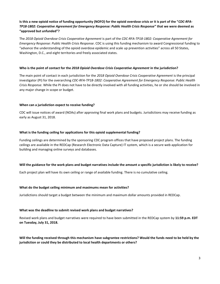## **Is this a new opioid notice of funding opportunity (NOFO) for the opioid overdose crisis or it is part of the "***CDC-RFA-TP18-1802: Cooperative Agreement for Emergency Response: Public Health Crisis Response***" that we were deemed as "approved but unfunded"?**

The *2018 Opioid Overdose Crisis Cooperative Agreement* is part of the *CDC-RFA-TP18-1802: Cooperative Agreement for Emergency Response: Public Health Crisis Response*. CDC is using this funding mechanism to award Congressional funding to "advance the understanding of the opioid overdose epidemic and scale up prevention activities" across all 50 States, Washington, D.C., and eight territories and freely associated states.

#### **Who is the point of contact for the** *2018 Opioid Overdose Crisis Cooperative Agreement* **in the jurisdiction?**

The main point of contact in each jurisdiction for the *2018 Opioid Overdose Crisis Cooperative Agreement* is the principal investigator (PI) for the overarching *CDC-RFA-TP18-1802: Cooperative Agreement for Emergency Response: Public Health Crisis Response*. While the PI does not have to be directly involved with all funding activities, he or she should be involved in any major change in scope or budget.

### **When can a jurisdiction expect to receive funding?**

CDC will issue notices of award (NOAs) after approving final work plans and budgets. Jurisdictions may receive funding as early as August 31, 2018.

### **What is the funding ceiling for applications for this opioid supplemental funding?**

Funding ceilings are determined by the sponsoring CDC program offices that have proposed project plans. The funding ceilings are available in the REDCap (Research Electronic Data Capture) IT system, which is a secure web application for building and managing online surveys and databases.

#### **Will the guidance for the work plans and budget narratives include the amount a specific jurisdiction is likely to receive?**

Each project plan will have its own ceiling or range of available funding. There is no cumulative ceiling.

#### **What do the budget ceiling minimum and maximums mean for activities?**

Jurisdictions should target a budget between the minimum and maximum dollar amounts provided in REDCap.

#### **What was the deadline to submit revised work plans and budget narratives?**

Revised work plans and budget narratives were required to have been submitted in the REDCap system by **11:59 p.m. EDT on Tuesday, July 31, 2018.**

**Will the funding received through this mechanism have subgrantee restrictions? Would the funds need to be held by the jurisdiction or could they be distributed to local health departments or others?**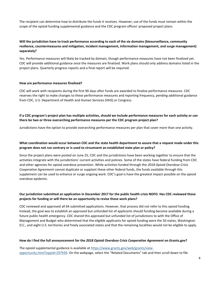The recipient can determine how to distribute the funds it receives. However, use of the funds must remain within the scope of the opioid funding supplemental guidance and the CDC program offices' proposed project plans.

## **Will the jurisdiction have to track performance according to each of the six domains (biosurveillance, community resilience, countermeasures and mitigation, incident management, information management, and surge management) separately?**

Yes. Performance measures will likely be tracked by domain, though performance measures have not been finalized yet. CDC will provide additional guidance once the measures are finalized. Work plans should only address domains listed in the project plans. Quarterly progress reports and a final report will be required.

#### **How are performance measures finalized?**

CDC will work with recipients during the first 90 days after funds are awarded to finalize performance measures. CDC reserves the right to make changes to these performance measures and reporting frequency, pending additional guidance from CDC, U.S. Department of Health and Human Services (HHS) or Congress.

## **If a CDC program's project plan has multiple activities, should we include performance measures for each activity or can there be two or three overarching performance measures per the CDC program project plan?**

Jurisdictions have the option to provide overarching performance measures per plan that cover more than one activity.

## **What coordination would occur between CDC and the state health department to assure that a request made under this program does not run contrary or is used to circumvent an established state plan or policy?**

Since the project plans were posted on June 25, CDC and the jurisdictions have been working together to ensure that the activities integrate with the jurisdictions' current activities and policies. Some of the states have federal funding from CDC and other agencies for opioid overdose prevention. While activities funded through the *2018 Opioid Overdose Crisis Cooperative Agreement* cannot duplicate or supplant these other federal funds, the funds available through this supplement can be used to enhance or surge ongoing work. CDC's goal is have the greatest impact possible on the opioid overdose epidemic.

## **Our jurisdiction submitted an application in December 2017 for the public health crisis NOFO. Has CDC reviewed those projects for funding or will there be an opportunity to revise those work plans?**

CDC reviewed and approved all 64 submitted applications. However, that process did not refer to this opioid funding. Instead, the goal was to establish an approved but unfunded list of applicants should funding become available during a future public health emergency. CDC shared this approved but unfunded list of jurisdictions to with the Office of Management and Budget who determined that the eligible applicants for opioid funding were the 50 states, Washington D.C., and eight U.S. territories and freely associated states and that the remaining localities would not be eligible to apply.

#### **How do I find the full announcement for the** *2018 Opioid Overdose Crisis Cooperative Agreement* **on Grants.gov?**

The opioid supplemental guidance is available at [https://www.grants.gov/web/grants/view](http://links.govdelivery.com/track?type=click&enid=ZWFzPTEmbWFpbGluZ2lkPTIwMTgwNjIyLjkxNTY1OTMxJm1lc3NhZ2VpZD1NREItUFJELUJVTC0yMDE4MDYyMi45MTU2NTkzMSZkYXRhYmFzZWlkPTEwMDEmc2VyaWFsPTE3MTkyNzQ3JmVtYWlsaWQ9ZnZpOEBjZGMuZ292JnVzZXJpZD1mdmk4QGNkYy5nb3YmZmw9JmV4dHJhPU11bHRpdmFyaWF0ZUlkPSYmJg==&&&102&&&https://www.grants.gov/web/grants/view-opportunity.html?oppId=297939)[opportunity.html?oppId=297939.](http://links.govdelivery.com/track?type=click&enid=ZWFzPTEmbWFpbGluZ2lkPTIwMTgwNjIyLjkxNTY1OTMxJm1lc3NhZ2VpZD1NREItUFJELUJVTC0yMDE4MDYyMi45MTU2NTkzMSZkYXRhYmFzZWlkPTEwMDEmc2VyaWFsPTE3MTkyNzQ3JmVtYWlsaWQ9ZnZpOEBjZGMuZ292JnVzZXJpZD1mdmk4QGNkYy5nb3YmZmw9JmV4dHJhPU11bHRpdmFyaWF0ZUlkPSYmJg==&&&102&&&https://www.grants.gov/web/grants/view-opportunity.html?oppId=297939) On the webpage, select the "Related Documents" tab and then scroll down to file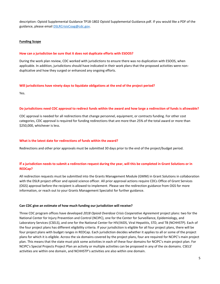description: Opioid Supplemental Guidance TP18-1802 Opioid Supplemental Guidance.pdf. If you would like a PDF of the guidance, please emai[l DSLRCrisisCoag@cdc.gov.](mailto:DSLRCrisisCoag@cdc.gov)

#### <span id="page-5-0"></span>**Funding Scope**

#### **How can a jurisdiction be sure that it does not duplicate efforts with ESOOS?**

During the work plan review, CDC worked with jurisdictions to ensure there was no duplication with ESOOS, when applicable. In addition, jurisdictions should have indicated in their work plans that the proposed activities were nonduplicative and how they surged or enhanced any ongoing efforts.

#### **Will jurisdictions have ninety days to liquidate obligations at the end of the project period?**

Yes.

#### **Do jurisdictions need CDC approval to redirect funds within the award and how large a redirection of funds is allowable?**

CDC approval is needed for all redirections that change personnel, equipment, or contracts funding. For other cost categories, CDC approval is required for funding redirections that are more than 25% of the total award or more than \$250,000, whichever is less.

#### **What is the latest date for redirections of funds within the award?**

Redirections and other prior approvals must be submitted 30 days prior to the end of the project/budget period.

## **If a jurisdiction needs to submit a redirection request during the year, will this be completed in Grant Solutions or in REDCap?**

All redirection requests must be submitted into the Grants Management Module (GMM) in Grant Solutions in collaboration with the DSLR project officer and opioid science officer. All prior approval actions require CDCs Office of Grant Services (OGS) approval before the recipient is allowed to implement. Please see the redirection guidance from OGS for more information, or reach out to your Grants Management Specialist for further guidance.

#### **Can CDC give an estimate of how much funding our jurisdiction will receive?**

Three CDC program offices have developed *2018 Opioid Overdose Crisis Cooperative Agreement* project plans: two for the National Center for Injury Prevention and Control (NCIPC), one for the Center for Surveillance, Epidemiology, and Laboratory Services (CSELS), and one for the National Center for HIV/AIDS, Viral Hepatitis, STD, and TB (NCHHSTP). Each of the four project plans has different eligibility criteria. If your jurisdiction is eligible for all four project plans, there will be four project plans with budget ranges in REDCap. Each jurisdiction decides whether it applies to all or some of the project plans for which it is eligible. Across the six domains covered by the project plans, four are required for NCIPC's main project plan. This means that the state must pick some activities in each of these four domains for NCIPC's main project plan. For NCIPC's Special Projects Project Plan an activity or multiple activities can be proposed in any of the six domains. CSELS' activities are within one domain, and NCHHSTP's activities are also within one domain.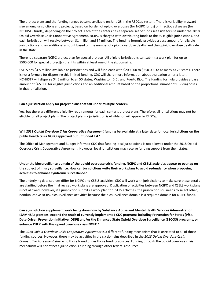The project plans and the funding ranges became available on June 25 in the REDCap system. There is variability in award size among jurisdictions and projects, based on burden of opioid overdoses (for NCIPC funds) or infectious diseases (for NCHHSTP funds), depending on the project. Each of the centers has a separate set of funds set aside for use under the 2018 Opioid Overdose Crisis Cooperative Agreement. NCIPC is charged with distributing funds to the 59 eligible jurisdictions, and each jurisdiction will receive between \$1 million and \$4 million. The funding formula provided a base amount for eligible jurisdictions and an additional amount based on the number of opioid overdose deaths and the opioid overdose death rate in the state.

There is a separate NCIPC project plan for special projects. All eligible jurisdictions can submit a work plan for up to \$500,000 for special project(s) that fits within at least one of the six domains.

CSELS has \$4.5 million available to jurisdictions and will fund each with \$200,000 to \$250,000 to as many as 25 states. There is not a formula for dispersing this limited funding. CDC will share more information about evaluation criteria later. NCHHSTP will disperse \$4.5 million to all 50 states, Washington D.C., and Puerto Rico. The funding formula provides a base amount of \$65,000 for eligible jurisdictions and an additional amount based on the proportional number of HIV diagnoses in that jurisdiction.

### **Can a jurisdiction apply for project plans that fall under multiple centers?**

Yes, but there are different eligibility requirements for each center's project plans. Therefore, all jurisdictions may not be eligible for all project plans. The project plans a jurisdiction is eligible for will appear in REDCap.

## **Will** *2018 Opioid Overdose Crisis Cooperative Agreement* **funding be available at a later date for local jurisdictions on the public health crisis NOFO approved but unfunded list?**

The Office of Management and Budget informed CDC that funding local jurisdictions is not allowed under the 2018 Opioid Overdose Crisis Cooperative Agreement. However, local jurisdictions may receive funding support from their states.

## **Under the biosurveillance domain of the opioid overdose crisis funding, NCIPC and CSELS activities appear to overlap on the subject of injury surveillance. How can jurisdictions write their work plans to avoid redundancy when proposing activities to enhance syndromic surveillance?**

The underlying data sources differ for NCIPC and CSELS activities. CDC will work with jurisdictions to make sure these details are clarified before the final revised work plans are approved. Duplication of activities between NCIPC and CSELS work plans is not allowed; however, if a jurisdiction submits a work plan for CSELS activities, the jurisdiction still needs to select other, nonduplicative NCIPC biosurveillance activities because the biosurveillance domain is a required domain for NCIPC funds.

**Can a jurisdiction supplement work being done now by Substance Abuse and Mental Health Services Administration (SAMHSA) grantees, expand the reach of currently implemented CDC programs including Prevention for States (PfS), Data-Driven Prevention Initiative (DDPI) and/or the Enhanced State Opioid Overdose Surveillance (ESOOS) programs, or enhance PHEP with this opioid overdose crisis NOFO?**

The *2018 Opioid Overdose Crisis Cooperative Agreement* is a different funding mechanism that is unrelated to all of those funding sources. However, there may be activities in the six domains described in the *2018 Opioid Overdose Crisis Cooperative Agreement* similar to those found under those funding sources. Funding through the opioid overdose crisis mechanism will not affect a jurisdiction's funding through other federal resources.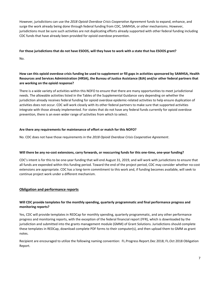However, jurisdictions can use the *2018 Opioid Overdose Crisis Cooperative Agreement* funds to expand, enhance, and surge the work already being done through federal funding from CDC, SAMHSA, or other mechanisms. However, jurisdictions must be sure such activities are not duplicating efforts already supported with other federal funding including CDC funds that have already been provided for opioid overdose prevention.

## **For those jurisdictions that do not have ESOOS, will they have to work with a state that has ESOOS grant?**

No.

## **How can this opioid overdose crisis funding be used to supplement or fill gaps in activities sponsored by SAMHSA, Health Resources and Services Administration (HRSA), the Bureau of Justice Assistance (BJA) and/or other federal partners that are working on the opioid response?**

There is a wide variety of activities within this NOFO to ensure that there are many opportunities to meet jurisdictional needs. The allowable activities listed in the Tables of the Supplemental Guidance vary depending on whether the jurisdiction already receives federal funding for opioid overdose epidemic-related activities to help ensure duplication of activities does not occur. CDC will work closely with its other federal partners to make sure that supported activities integrate with those already implemented. For states that do not have any federal funds currently for opioid overdose prevention, there is an even wider range of activities from which to select.

## **Are there any requirements for maintenance of effort or match for this NOFO?**

No. CDC does not have those requirements in the *2018 Opioid Overdose Crisis Cooperative Agreement*.

## **Will there be any no-cost extensions, carry forwards, or reoccurring funds for this one-time, one-year funding?**

CDC's intent is for this to be one-year funding that will end August 31, 2019, and will work with jurisdictions to ensure that all funds are expended within this funding period. Toward the end of the project period, CDC may consider whether no-cost extensions are appropriate. CDC has a long-term commitment to this work and, if funding becomes available, will seek to continue project work under a different mechanism.

## <span id="page-7-0"></span>**Obligation and performance reports**

## **Will CDC provide templates for the monthly spending, quarterly programmatic and final performance progress and monitoring reports?**

Yes, CDC will provide templates in REDCap for monthly spending, quarterly programmatic, and any other performance progress and monitoring reports, with the exception of the federal financial report (FFR), which is downloaded by the jurisdiction and submitted into the grants management module (GMM) of Grant Solutions. Jurisdictions should complete these templates in REDCap, download complete PDF forms to their computer(s), and then upload them to GMM as grant notes.

Recipient are encouraged to utilize the following naming convention: FL.Progress Report.Dec 2018; FL.Oct 2018 Obligation Report.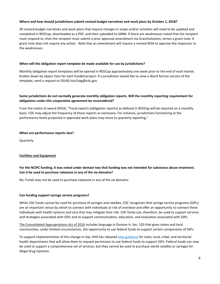## **Where and how should jurisdictions submit revised budget narratives and work plans by October 1, 2018?**

All revised budget narratives and work plans that require changes in scope and/or activities will need to be updated and completed in REDCap, downloaded as a PDF, and then uploaded to GMM. If there are weaknesses noted that the recipient must respond to, then the recipient must submit a prior approval amendment via GrantSolutions, verses a grant note. A grant note does not require any action. Note that an amendment will require a revised NOA to approve the responses to the weaknesses.

#### **When will the obligation report template be made available for use by jurisdictions?**

Monthly obligation report templates will be opened in REDCap approximately one week prior to the end of each month, broken down by object class for each funded project. If a jurisdiction would like to view a Word format version of the template, send a request to DSLRCrisisCoag@cdc.gov.

## **Some jurisdictions do not normally generate monthly obligation reports. Will the monthly reporting requirement for obligations under this cooperative agreement be reconsidered?**

From the notice of award (NOA): "Fiscal reports [obligation reports] as defined in REDCap will be required on a monthly basis. CDC may adjust the frequency of these reports as necessary. For instance, jurisdictions functioning at the performance levels projected in approved work plans may move to quarterly reporting."

#### **When are performance reports due?**

Quarterly.

## <span id="page-8-0"></span>**Facilities and Equipment**

## **For the NCIPC funding, it was noted under domain two that funding was not intended for substance abuse treatment. Can it be used to purchase naloxone in any of the six domains?**

No. Funds may not be used to purchase naloxone in any of the six domains.

#### **Can funding support syringe service programs?**

While CDC funds cannot be used for purchase of syringes and needles, CDC recognizes that syringe service programs (SSPs) are an important venue by which to connect with individuals at risk of overdose and offer an opportunity to connect these individuals with health systems and care that may mitigate their risk. CDC funds can, therefore, be used to support services and strategies associated with SSPs and to support communication, education, and evaluation associated with SSPs.

[The Consolidated Appropriations Act of 2016](https://www.congress.gov/114/bills/hr2029/BILLS-114hr2029enr.pdf) includes language in Division H, Sec. 520 that gives states and local communities, under limited circumstances, the opportunity to use federal funds to support certain components of SSPs.

To support implementation of this change in law, HHS has released new guidance for state, local, tribal, and territorial health departments that will allow them to request permission to use federal funds to support SSPs. Federal funds can now be used to support a comprehensive set of services, but they cannot be used to purchase sterile needles or syringes for illegal drug injection.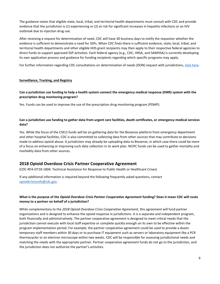The guidance states that eligible state, local, tribal, and territorial health departments must consult with CDC and provide evidence that the jurisdiction is (1) experiencing or (2) at risk for significant increases in hepatitis infections or an HIV outbreak due to injection drug use.

After receiving a request for determination of need, CDC will have 30 business days to notify the requestor whether the evidence is sufficient to demonstrate a need for SSPs. When CDC finds there is sufficient evidence, state, local, tribal, and territorial health departments and other eligible HHS grant recipients may then apply to their respective federal agencies to direct funds to support approved SSP activities. Each federal agency (e.g., CDC, HRSA, and SAMHSA) is currently developing its own application process and guidance for funding recipients regarding which specific programs may apply.

For further information regarding CDC consultations on determination of needs (DON) request with jurisdictions[, click here.](https://www.cdc.gov/hiv/risk/ssps-jurisdictions.html)

#### <span id="page-9-0"></span>**Surveillance, Tracking, and Registry**

## **Can a jurisdiction use funding to help a health system connect the emergency medical response (EMR) system with the prescription drug monitoring program?**

Yes. Funds can be used to improve the use of the prescription drug monitoring program (PDMP).

## **Can a jurisdiction use funding to gather data from urgent care facilities, death certificates, or emergency medical services data?**

Yes. While the focus of the CSELS funds will be on gathering data for the Biosense platform from emergency department and other hospital facilities, CDC is also committed to collecting data from other sources that may contribute to decisions made to address opioid abuse. A jurisdiction may already be uploading data to Biosense, in which case there could be more of a focus on enhancing or improving such data collection in its work plan. NCIPC funds can be used to gather mortality and morbidity data from other sources.

## <span id="page-9-1"></span>**2018 Opioid Overdose Crisis Partner Cooperative Agreement**

(CDC-RFA-OT18-1804: Technical Assistance for Response to Public Health or Healthcare Crises)

If any additional information is required beyond the following frequently asked questions, contact [opioidcrisisnofo@cdc.gov.](mailto:opioidcrisisnofo@cdc.gov) 

## **What is the purpose of the** *Opioid Overdose Crisis Partner Cooperative Agreement* **funding? Does it mean CDC will route money to a partner on behalf of a jurisdiction?**

While complementary to the *2018 Opioid Overdose Crisis Cooperative Agreement*, this agreement will fund partner organizations and is designed to enhance the opioid response in jurisdictions. It is a separate and independent program, both financially and administratively. The partner cooperative agreement is designed to meet critical needs that the jurisdiction cannot execute with local staff expertise or complete quickly enough on its own to be effective within the program implementation period. For example, the partner cooperative agreement could be used to provide a dozen temporary staff members within 30 days or to purchase IT equipment such as servers or laboratory equipment like a PCR thermocycler or an electron microscope within two weeks. CDC will be responsible for assessing jurisdictional needs and matching the needs with the appropriate partner. Partner cooperative agreement funds do not go to the jurisdiction, and the jurisdiction does not authorize the partner's activities.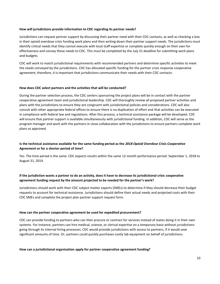#### **How will jurisdictions provide information to CDC regarding its partner needs?**

Jurisdictions can request partner support by discussing their partner need with their CDC contacts, as well as checking a box in their opioid overdose crisis funding work plans and then writing down their partner support needs. The jurisdictions must identify critical needs that they cannot execute with local staff expertise or complete quickly enough on their own for effectiveness and convey these needs to CDC. This must be completed by the July 31 deadline for submitting work plans and budgets.

CDC will work to match jurisdictional requirements with recommended partners and determine specific activities to meet the needs conveyed by the jurisdictions. CDC has allocated specific funding for the partner crisis response cooperative agreement; therefore, it is important that jurisdictions communicate their needs with their CDC contacts.

### **How does CDC select partners and the activities that will be conducted?**

During the partner selection process, the CDC centers sponsoring the project plans will be in contact with the partner cooperative agreement team and jurisdictional leadership. CDC will thoroughly review all proposed partner activities and plans with the jurisdictions to ensure they are congruent with jurisdictional policies and considerations. CDC will also consult with other appropriate federal offices to ensure there is no duplication of effort and that activities can be executed in compliance with federal law and regulations. After this process, a technical assistance package will be developed. CDC will ensure that partner support is available simultaneously with jurisdictional funding. In addition, CDC will serve as the program manager and work with the partners in close collaboration with the jurisdictions to ensure partners complete work plans as approved.

## **Is the technical assistance available for the same funding period as the** *2018 Opioid Overdose Crisis Cooperative Agreement* **or for a shorter period of time?**

Yes. The time period is the same. CDC expects results within the same 12-month performance period: September 1, 2018 to August 31, 2019.

## **If the jurisdiction wants a partner to do an activity, does it have to decrease its jurisdictional crisis cooperative agreement funding request by the amount projected to be needed for the partner's work?**

Jurisdictions should work with their CDC subject matter experts (SMEs) to determine if they should decrease their budget requests to account for technical assistance. Jurisdictions should define their actual needs and projected costs with their CDC SMEs and complete the project plan partner support request form.

#### **How can the partner cooperative agreement be used for expedited procurement?**

CDC can provide funding to partners who can then procure or contract for services instead of states doing it in their own systems. For instance, partners can hire medical, science, or clerical expertise on a temporary basis without jurisdictions going through its internal hiring processes. CDC would provide jurisdictions with access to partners, if it would save significant amounts of time. Or, partners could quickly purchases costly lab equipment on behalf of jurisdictions.

## **How can a jurisdictional organization apply for partner cooperative agreement funding?**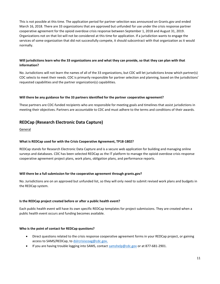This is not possible at this time. The application period for partner selection was announced on Grants.gov and ended March 16, 2018. There are 33 organizations that are approved but unfunded for use under the crisis response partner cooperative agreement for the opioid overdose crisis response between September 1, 2018 and August 31, 2019. Organizations not on that list will not be considered at this time for application. If a jurisdiction wants to engage the services of some organization that did not successfully compete, it should subcontract with that organization as it would normally.

## **Will jurisdictions learn who the 33 organizations are and what they can provide, so that they can plan with that information?**

No. Jurisdictions will not learn the names of all of the 33 organizations, but CDC will let jurisdictions know which partner(s) CDC selects to meet their needs. CDC is primarily responsible for partner selection and planning, based on the jurisdictions' requested capabilities and the partner organization(s) capabilities.

## **Will there be any guidance for the 33 partners identified for the partner cooperative agreement?**

These partners are CDC-funded recipients who are responsible for meeting goals and timelines that assist jurisdictions in meeting their objectives. Partners are accountable to CDC and must adhere to the terms and conditions of their awards.

## <span id="page-11-0"></span>**REDCap (Research Electronic Data Capture)**

<span id="page-11-1"></span>General

## **What is REDCap used for with the Crisis Cooperative Agreement, TP18-1802?**

REDCap stands for Research Electronic Data Capture and is a secure web application for building and managing online surveys and databases. CDC has been selected REDCap as the IT platform to manage the opioid overdose crisis response cooperative agreement project plans, work plans, obligation plans, and performance reports.

## **Will there be a full submission for the cooperative agreement through grants.gov?**

No. Jurisdictions are on an approved but unfunded list, so they will only need to submit revised work plans and budgets in the REDCap system.

## **Is the REDCap project created before or after a public health event?**

Each public health event will have its own specific REDCap templates for project submissions. They are created when a public health event occurs and funding becomes available.

## **Who is the point of contact for REDCap questions?**

- Direct questions related to the crisis response cooperative agreement forms in your REDCap project, or gaining access to SAMS/REDCap, to [dslrcrisiscoag@cdc.gov.](mailto:dslrcrisiscoag@cdc.gov)
- If you are having trouble logging into SAMS, contact  $\frac{samplelp@cdc.gov}{2}$  or at 877-681-2901.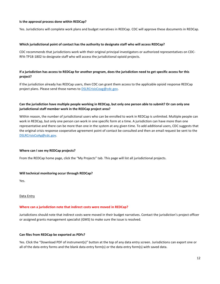### **Is the approval process done within REDCap?**

Yes. Jurisdictions will complete work plans and budget narratives in REDCap. CDC will approve these documents in REDCap.

### **Which jurisdictional point of contact has the authority to designate staff who will access REDCap?**

CDC recommends that jurisdictions work with their original principal investigators or authorized representatives on CDC-RFA-TP18-1802 to designate staff who will access the jurisdictional opioid projects.

## **If a jurisdiction has access to REDCap for another program, does the jurisdiction need to get specific access for this project?**

If the jurisdiction already has REDCap users, then CDC can grant them access to the applicable opioid response REDCap project plans. Please send those names to **DSLRCrisisCoag@cdc.gov**.

## **Can the jurisdiction have multiple people working in REDCap, but only one person able to submit? Or can only one jurisdictional staff member work in the REDCap project area?**

Within reason, the number of jurisdictional users who can be enrolled to work in REDCap is unlimited. Multiple people can work in REDCap, but only one person can work in one specific form at a time. A jurisdiction can have more than one representative and there can be more than one in the system at any given time. To add additional users, CDC suggests that the original crisis response cooperative agreement point of contact be consulted and then an email request be sent to the [DSLRCrisisCoAg@cdc.gov.](mailto:DSLRCrisisCoAg@cdc.gov)

#### **Where can I see my REDCap projects?**

From the REDCap home page, click the "My Projects" tab. This page will list all jurisdictional projects.

#### **Will technical monitoring occur through REDCap?**

Yes.

<span id="page-12-0"></span>Data Entry

#### **Where can a jurisdiction note that indirect costs were moved in REDCap?**

Jurisdictions should note that indirect costs were moved in their budget narratives. Contact the jurisdiction's project officer or assigned grants management specialist (GMS) to make sure the issue is resolved.

#### **Can files from REDCap be exported as PDFs?**

Yes. Click the "Download PDF of instrument(s)" button at the top of any data entry screen. Jurisdictions can export one or all of the data entry forms and the blank data entry form(s) or the data entry form(s) with saved data.